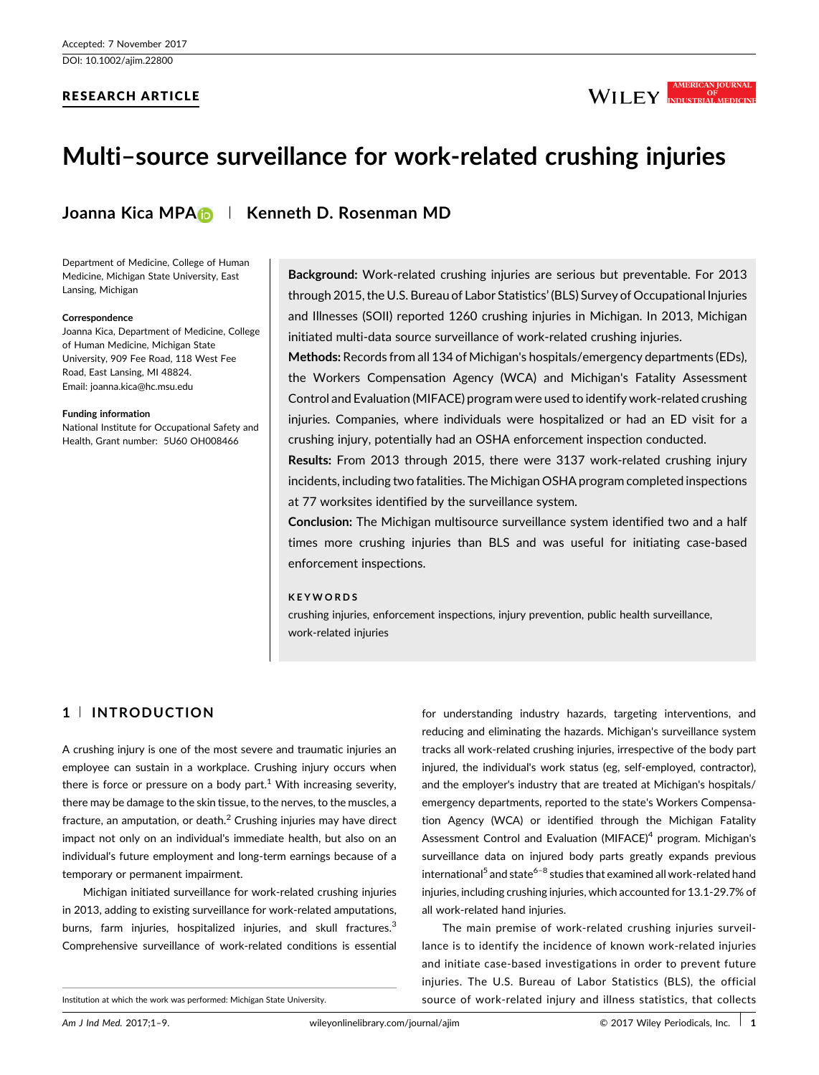## RESEARCH ARTICLE



# Multi–source surveillance for work-related crushing injuries

# Joanna Kica MPA | Kenneth D. Rosenman MD

Department of Medicine, College of Human Medicine, Michigan State University, East Lansing, Michigan

#### Correspondence

Joanna Kica, Department of Medicine, College of Human Medicine, Michigan State University, 909 Fee Road, 118 West Fee Road, East Lansing, MI 48824. Email: joanna.kica@hc.msu.edu

#### Funding information

National Institute for Occupational Safety and Health, Grant number: 5U60 OH008466

Background: Work-related crushing injuries are serious but preventable. For 2013 through 2015, the U.S. Bureau of Labor Statistics' (BLS) Survey of Occupational Injuries and Illnesses (SOII) reported 1260 crushing injuries in Michigan. In 2013, Michigan initiated multi-data source surveillance of work-related crushing injuries.

Methods: Records from all 134 of Michigan's hospitals/emergency departments (EDs), the Workers Compensation Agency (WCA) and Michigan's Fatality Assessment Control and Evaluation (MIFACE) program were used to identify work-related crushing injuries. Companies, where individuals were hospitalized or had an ED visit for a crushing injury, potentially had an OSHA enforcement inspection conducted.

Results: From 2013 through 2015, there were 3137 work-related crushing injury incidents, including two fatalities. The Michigan OSHA program completed inspections at 77 worksites identified by the surveillance system.

Conclusion: The Michigan multisource surveillance system identified two and a half times more crushing injuries than BLS and was useful for initiating case-based enforcement inspections.

#### KEYWORDS

crushing injuries, enforcement inspections, injury prevention, public health surveillance, work-related injuries

# 1 <sup>|</sup> INTRODUCTION

A crushing injury is one of the most severe and traumatic injuries an employee can sustain in a workplace. Crushing injury occurs when there is force or pressure on a body part.<sup>1</sup> [With increasing severity,](#page-8-0) there may be damage to the skin tissue, to the nerves, to the muscles, a fracture, an amputation, or death. $<sup>2</sup>$  [Crushing injuries may have direct](#page-8-0)</sup> impact not only on an individual's immediate health, but also on an individual's future employment and long-term earnings because of a temporary or permanent impairment.

Michigan initiated surveillance for work-related crushing injuries in 2013, adding to existing surveillance for work-related amputations, burns, farm injuries, hospitalized injuries, and skull fractures.<sup>[3](#page-8-0)</sup> Comprehensive surveillance of work-related conditions is essential for understanding industry hazards, targeting interventions, and reducing and eliminating the hazards. Michigan's surveillance system tracks all work-related crushing injuries, irrespective of the body part injured, the individual's work status (eg, self-employed, contractor), and the employer's industry that are treated at Michigan's hospitals/ emergency departments, reported to the state's Workers Compensation Agency (WCA) or identified through the Michigan Fatality Assessment Control and Evaluation  $(MIFACE)^4$  [program. Michigan's](#page-8-0) surveillance data on injured body parts greatly expands previous international<sup>5</sup> [and state](#page-8-0)<sup>6-8</sup> [studies that examined all work-related hand](#page-8-0) injuries, including crushing injuries, which accounted for 13.1-29.7% of all work-related hand injuries.

The main premise of work-related crushing injuries surveillance is to identify the incidence of known work-related injuries and initiate case-based investigations in order to prevent future injuries. The U.S. Bureau of Labor Statistics (BLS), the official Institution at which the work was performed: Michigan State University. Source of work-related injury and illness statistics, that collects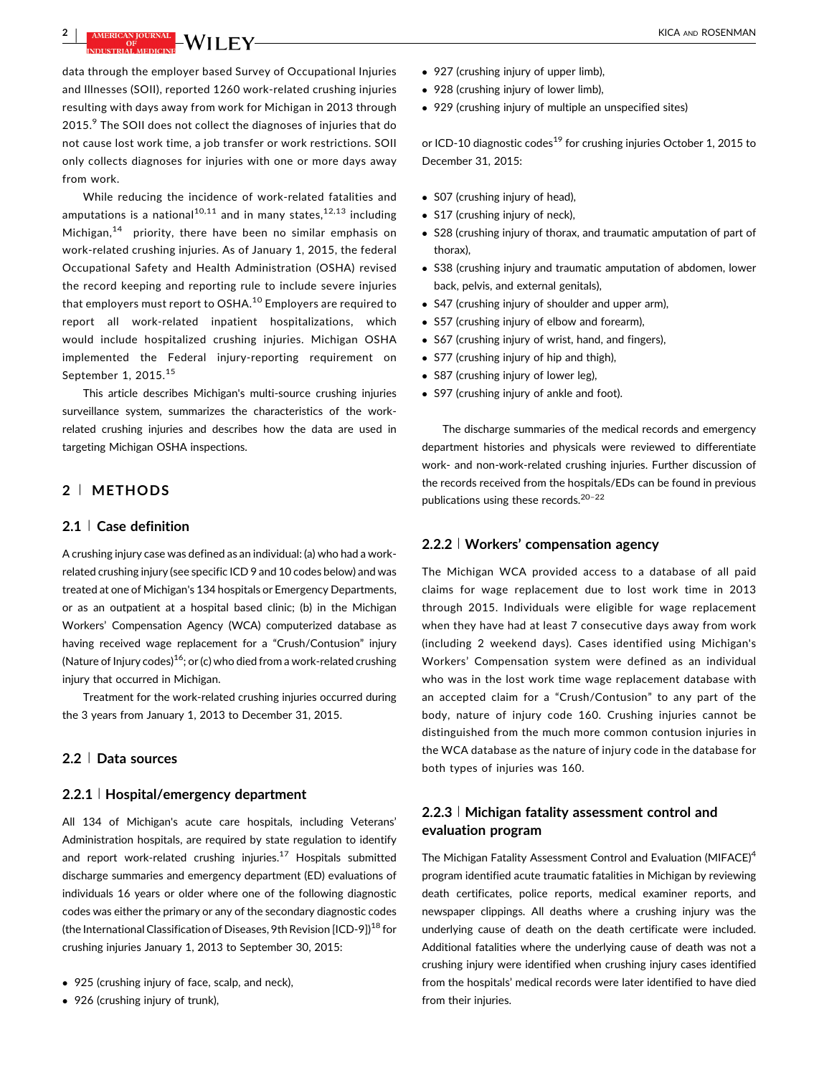# **2** | **AMERICAN JOURNAL LVAI I EV** KICA AND ROSENMAN

data through the employer based Survey of Occupational Injuries and Illnesses (SOII), reported 1260 work-related crushing injuries resulting with days away from work for Michigan in 2013 through 2015.<sup>9</sup> [The SOII does not collect the diagnoses of injuries that do](#page-8-0) not cause lost work time, a job transfer or work restrictions. SOII only collects diagnoses for injuries with one or more days away from work.

While reducing the incidence of work-related fatalities and amputations is a national<sup>10,11</sup> [and in many states,](#page-8-0)<sup>12,13</sup> [including](#page-8-0) Michigan, $14$  [priority, there have been no similar emphasis on](#page-8-0) work-related crushing injuries. As of January 1, 2015, the federal Occupational Safety and Health Administration (OSHA) revised the record keeping and reporting rule to include severe injuries that employers must report to OSHA.<sup>10</sup> [Employers are required to](#page-8-0) report all work-related inpatient hospitalizations, which would include hospitalized crushing injuries. Michigan OSHA implemented the Federal injury-reporting requirement on September 1, 20[15](#page-8-0).<sup>15</sup>

This article describes Michigan's multi-source crushing injuries surveillance system, summarizes the characteristics of the workrelated crushing injuries and describes how the data are used in targeting Michigan OSHA inspections.

## 2 <sup>|</sup> METHODS

#### 2.1 <sup>|</sup> Case definition

A crushing injury case was defined as an individual: (a) who had a workrelated crushing injury (see specific ICD 9 and 10 codes below) and was treated at one of Michigan's 134 hospitals or Emergency Departments, or as an outpatient at a hospital based clinic; (b) in the Michigan Workers' Compensation Agency (WCA) computerized database as having received wage replacement for a "Crush/Contusion" injury (Nature of Injury codes)<sup>16</sup>; or (c) who died from a work-related crushing injury that occurred in Michigan.

Treatment for the work-related crushing injuries occurred during the 3 years from January 1, 2013 to December 31, 2015.

#### 2.2 <sup>|</sup> Data sources

#### 2.2.1 <sup>|</sup> Hospital/emergency department

All 134 of Michigan's acute care hospitals, including Veterans' Administration hospitals, are required by state regulation to identify and report work-related crushing injuries. $17$  [Hospitals submitted](#page-8-0) discharge summaries and emergency department (ED) evaluations of individuals 16 years or older where one of the following diagnostic codes was either the primary or any of the secondary diagnostic codes (the International Classification of Diseases, 9th Revision  $[ICD-9]$ <sup>18</sup> [for](#page-8-0) crushing injuries January 1, 2013 to September 30, 2015:

- 925 (crushing injury of face, scalp, and neck),
- 926 (crushing injury of trunk),
- 927 (crushing injury of upper limb),
- 928 (crushing injury of lower limb),
- 929 (crushing injury of multiple an unspecified sites)

or ICD-10 diagnostic codes<sup>19</sup> [for crushing injuries October 1, 2015 to](#page-8-0) December 31, 2015:

- S07 (crushing injury of head),
- S17 (crushing injury of neck),
- S28 (crushing injury of thorax, and traumatic amputation of part of thorax),
- S38 (crushing injury and traumatic amputation of abdomen, lower back, pelvis, and external genitals),
- S47 (crushing injury of shoulder and upper arm),
- S57 (crushing injury of elbow and forearm),
- S67 (crushing injury of wrist, hand, and fingers),
- S77 (crushing injury of hip and thigh),
- S87 (crushing injury of lower leg).
- S97 (crushing injury of ankle and foot).

The discharge summaries of the medical records and emergency department histories and physicals were reviewed to differentiate work- and non-work-related crushing injuries. Further discussion of the records received from the hospitals/EDs can be found in previous publications using these records.[20](#page-8-0)–<sup>22</sup>

#### 2.2.2 <sup>|</sup> Workers' compensation agency

The Michigan WCA provided access to a database of all paid claims for wage replacement due to lost work time in 2013 through 2015. Individuals were eligible for wage replacement when they have had at least 7 consecutive days away from work (including 2 weekend days). Cases identified using Michigan's Workers' Compensation system were defined as an individual who was in the lost work time wage replacement database with an accepted claim for a "Crush/Contusion" to any part of the body, nature of injury code 160. Crushing injuries cannot be distinguished from the much more common contusion injuries in the WCA database as the nature of injury code in the database for both types of injuries was 160.

## 2.2.3 <sup>|</sup> Michigan fatality assessment control and evaluation program

The Michigan Fatality Assessment Control and Evaluation (MIFACE)<sup>[4](#page-8-0)</sup> program identified acute traumatic fatalities in Michigan by reviewing death certificates, police reports, medical examiner reports, and newspaper clippings. All deaths where a crushing injury was the underlying cause of death on the death certificate were included. Additional fatalities where the underlying cause of death was not a crushing injury were identified when crushing injury cases identified from the hospitals' medical records were later identified to have died from their injuries.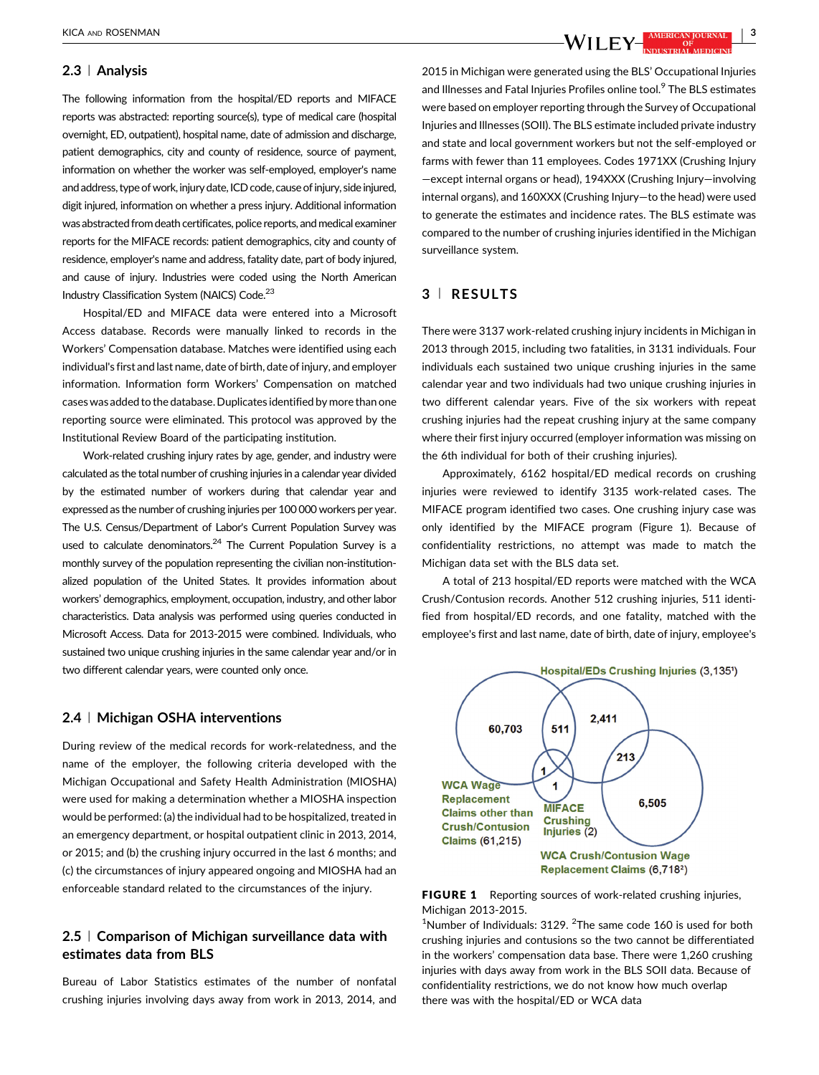#### 2.3 <sup>|</sup> Analysis

The following information from the hospital/ED reports and MIFACE reports was abstracted: reporting source(s), type of medical care (hospital overnight, ED, outpatient), hospital name, date of admission and discharge, patient demographics, city and county of residence, source of payment, information on whether the worker was self-employed, employer's name and address, type of work, injury date, ICD code, cause of injury, side injured, digit injured, information on whether a press injury. Additional information was abstracted from death certificates, police reports, and medical examiner reports for the MIFACE records: patient demographics, city and county of residence, employer's name and address, fatality date, part of body injured, and cause of injury. Industries were coded using the North American Industry Classification System (NAICS) Code.<sup>23</sup>

Hospital/ED and MIFACE data were entered into a Microsoft Access database. Records were manually linked to records in the Workers' Compensation database. Matches were identified using each individual's first and last name, date of birth, date of injury, and employer information. Information form Workers' Compensation on matched cases was added to the database. Duplicates identified by more than one reporting source were eliminated. This protocol was approved by the Institutional Review Board of the participating institution.

Work-related crushing injury rates by age, gender, and industry were calculated as the total number of crushing injuries in a calendar year divided by the estimated number of workers during that calendar year and expressed as the number of crushing injuries per 100 000 workers per year. The U.S. Census/Department of Labor's Current Population Survey was used to calculate denominators.<sup>24</sup> [The Current Population Survey is a](#page-8-0) monthly survey of the population representing the civilian non-institutionalized population of the United States. It provides information about workers' demographics, employment, occupation, industry, and other labor characteristics. Data analysis was performed using queries conducted in Microsoft Access. Data for 2013-2015 were combined. Individuals, who sustained two unique crushing injuries in the same calendar year and/or in two different calendar years, were counted only once.

### 2.4 <sup>|</sup> Michigan OSHA interventions

During review of the medical records for work-relatedness, and the name of the employer, the following criteria developed with the Michigan Occupational and Safety Health Administration (MIOSHA) were used for making a determination whether a MIOSHA inspection would be performed: (a) the individual had to be hospitalized, treated in an emergency department, or hospital outpatient clinic in 2013, 2014, or 2015; and (b) the crushing injury occurred in the last 6 months; and (c) the circumstances of injury appeared ongoing and MIOSHA had an enforceable standard related to the circumstances of the injury.

# 2.5 <sup>|</sup> Comparison of Michigan surveillance data with estimates data from BLS

Bureau of Labor Statistics estimates of the number of nonfatal crushing injuries involving days away from work in 2013, 2014, and

2015 in Michigan were generated using the BLS' Occupational Injuries and Illnesses and Fatal Injuries Profiles online tool.<sup>9</sup> [The BLS estimates](#page-8-0) were based on employer reporting through the Survey of Occupational Injuries and Illnesses (SOII). The BLS estimate included private industry and state and local government workers but not the self-employed or farms with fewer than 11 employees. Codes 1971XX (Crushing Injury —except internal organs or head), 194XXX (Crushing Injury—involving internal organs), and 160XXX (Crushing Injury—to the head) were used to generate the estimates and incidence rates. The BLS estimate was compared to the number of crushing injuries identified in the Michigan surveillance system.

## 3 <sup>|</sup> RESULTS

There were 3137 work-related crushing injury incidents in Michigan in 2013 through 2015, including two fatalities, in 3131 individuals. Four individuals each sustained two unique crushing injuries in the same calendar year and two individuals had two unique crushing injuries in two different calendar years. Five of the six workers with repeat crushing injuries had the repeat crushing injury at the same company where their first injury occurred (employer information was missing on the 6th individual for both of their crushing injuries).

Approximately, 6162 hospital/ED medical records on crushing injuries were reviewed to identify 3135 work-related cases. The MIFACE program identified two cases. One crushing injury case was only identified by the MIFACE program (Figure 1). Because of confidentiality restrictions, no attempt was made to match the Michigan data set with the BLS data set.

A total of 213 hospital/ED reports were matched with the WCA Crush/Contusion records. Another 512 crushing injuries, 511 identified from hospital/ED records, and one fatality, matched with the employee's first and last name, date of birth, date of injury, employee's





<sup>1</sup>Number of Individuals: 3129.  $2$ The same code 160 is used for both crushing injuries and contusions so the two cannot be differentiated in the workers' compensation data base. There were 1,260 crushing injuries with days away from work in the BLS SOII data. Because of confidentiality restrictions, we do not know how much overlap there was with the hospital/ED or WCA data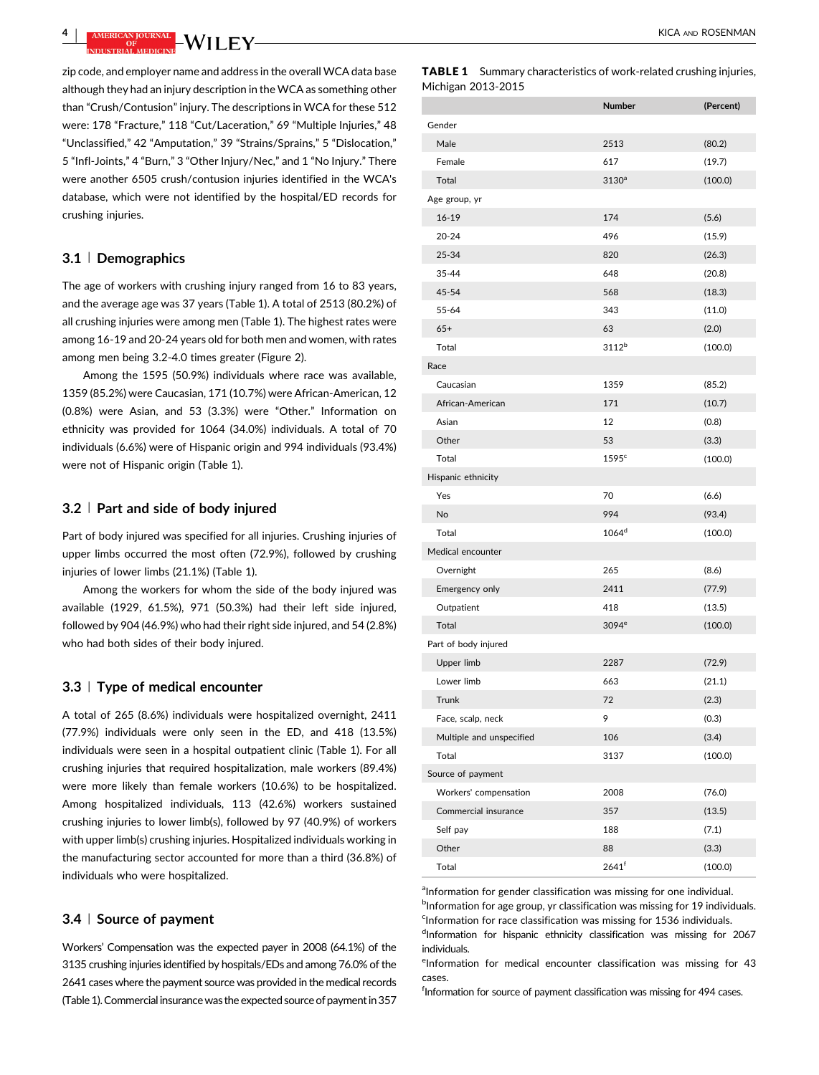<span id="page-3-0"></span>**4** | AMERICAN DURNAL **NATIFICAL CONTRACT CONTRACT AND ROSENMAN** 

zip code, and employer name and address in the overall WCA data base although they had an injury description in the WCA as something other than "Crush/Contusion" injury. The descriptions in WCA for these 512 were: 178 "Fracture," 118 "Cut/Laceration," 69 "Multiple Injuries," 48 "Unclassified," 42 "Amputation," 39 "Strains/Sprains," 5 "Dislocation," 5 "Infl-Joints," 4 "Burn," 3 "Other Injury/Nec," and 1 "No Injury." There were another 6505 crush/contusion injuries identified in the WCA's database, which were not identified by the hospital/ED records for crushing injuries.

### 3.1 <sup>|</sup> Demographics

The age of workers with crushing injury ranged from 16 to 83 years, and the average age was 37 years (Table 1). A total of 2513 (80.2%) of all crushing injuries were among men (Table 1). The highest rates were among 16-19 and 20-24 years old for both men and women, with rates among men being 3.2-4.0 times greater (Figure 2).

Among the 1595 (50.9%) individuals where race was available, 1359 (85.2%) were Caucasian, 171 (10.7%) were African-American, 12 (0.8%) were Asian, and 53 (3.3%) were "Other." Information on ethnicity was provided for 1064 (34.0%) individuals. A total of 70 individuals (6.6%) were of Hispanic origin and 994 individuals (93.4%) were not of Hispanic origin (Table 1).

## 3.2 <sup>|</sup> Part and side of body injured

Part of body injured was specified for all injuries. Crushing injuries of upper limbs occurred the most often (72.9%), followed by crushing injuries of lower limbs (21.1%) (Table 1).

Among the workers for whom the side of the body injured was available (1929, 61.5%), 971 (50.3%) had their left side injured, followed by 904 (46.9%) who had their right side injured, and 54 (2.8%) who had both sides of their body injured.

#### 3.3 <sup>|</sup> Type of medical encounter

A total of 265 (8.6%) individuals were hospitalized overnight, 2411 (77.9%) individuals were only seen in the ED, and 418 (13.5%) individuals were seen in a hospital outpatient clinic (Table 1). For all crushing injuries that required hospitalization, male workers (89.4%) were more likely than female workers (10.6%) to be hospitalized. Among hospitalized individuals, 113 (42.6%) workers sustained crushing injuries to lower limb(s), followed by 97 (40.9%) of workers with upper limb(s) crushing injuries. Hospitalized individuals working in the manufacturing sector accounted for more than a third (36.8%) of individuals who were hospitalized.

#### 3.4 <sup>|</sup> Source of payment

Workers' Compensation was the expected payer in 2008 (64.1%) of the 3135 crushing injuries identified by hospitals/EDs and among 76.0% of the 2641 cases where the payment source was provided in the medical records (Table 1).Commercial insurance was the expected source of payment in 357

|                    | <b>TABLE 1</b> Summary characteristics of work-related crushing injuries, |  |  |  |  |  |
|--------------------|---------------------------------------------------------------------------|--|--|--|--|--|
| Michigan 2013-2015 |                                                                           |  |  |  |  |  |

|                          | Number              | (Percent) |
|--------------------------|---------------------|-----------|
| Gender                   |                     |           |
| Male                     | 2513                | (80.2)    |
| Female                   | 617                 | (19.7)    |
| Total                    | 3130 <sup>a</sup>   | (100.0)   |
| Age group, yr            |                     |           |
| $16 - 19$                | 174                 | (5.6)     |
| $20 - 24$                | 496                 | (15.9)    |
| 25-34                    | 820                 | (26.3)    |
| 35-44                    | 648                 | (20.8)    |
| 45-54                    | 568                 | (18.3)    |
| 55-64                    | 343                 | (11.0)    |
| $65+$                    | 63                  | (2.0)     |
| Total                    | 3112 <sup>b</sup>   | (100.0)   |
| Race                     |                     |           |
| Caucasian                | 1359                | (85.2)    |
| African-American         | 171                 | (10.7)    |
| Asian                    | 12                  | (0.8)     |
| Other                    | 53                  | (3.3)     |
| Total                    | 1595c               | (100.0)   |
| Hispanic ethnicity       |                     |           |
| Yes                      | 70                  | (6.6)     |
| No                       | 994                 | (93.4)    |
| Total                    | 1064 <sup>d</sup>   | (100.0)   |
| Medical encounter        |                     |           |
| Overnight                | 265                 | (8.6)     |
| Emergency only           | 2411                | (77.9)    |
| Outpatient               | 418                 | (13.5)    |
| Total                    | 3094 <sup>e</sup>   | (100.0)   |
| Part of body injured     |                     |           |
| Upper limb               | 2287                | (72.9)    |
| Lower limb               | 663                 | (21.1)    |
| Trunk                    | 72                  | (2.3)     |
| Face, scalp, neck        | 9                   | (0.3)     |
| Multiple and unspecified | 106                 | (3.4)     |
| Total                    | 3137                | (100.0)   |
| Source of payment        |                     |           |
| Workers' compensation    | 2008                | (76.0)    |
| Commercial insurance     | 357                 | (13.5)    |
| Self pay                 | 188                 | (7.1)     |
| Other                    | 88                  | (3.3)     |
| Total                    | $2641$ <sup>f</sup> | (100.0)   |

aInformation for gender classification was missing for one individual. <sup>b</sup>Information for age group, yr classification was missing for 19 individuals. <sup>c</sup>Information for race classification was missing for 1536 individuals.

dInformation for hispanic ethnicity classification was missing for 2067 individuals.

eInformation for medical encounter classification was missing for 43 cases.

fInformation for source of payment classification was missing for 494 cases.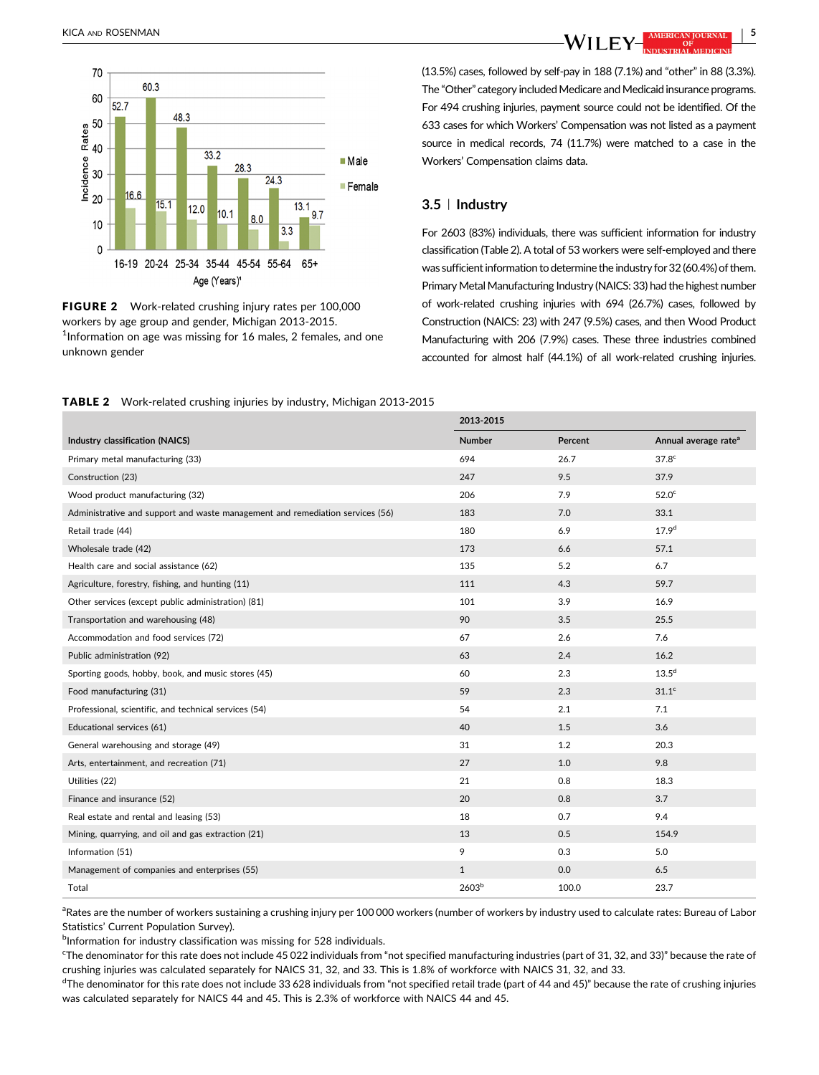

FIGURE 2 Work-related crushing injury rates per 100,000 workers by age group and gender, Michigan 2013-2015. <sup>1</sup>Information on age was missing for 16 males, 2 females, and one unknown gender

(13.5%) cases, followed by self-pay in 188 (7.1%) and "other" in 88 (3.3%). The "Other" category included Medicare and Medicaid insurance programs. For 494 crushing injuries, payment source could not be identified. Of the 633 cases for which Workers' Compensation was not listed as a payment source in medical records, 74 (11.7%) were matched to a case in the Workers' Compensation claims data.

## 3.5 <sup>|</sup> Industry

For 2603 (83%) individuals, there was sufficient information for industry classification (Table 2). A total of 53 workers were self-employed and there was sufficient information to determine the industry for 32 (60.4%) of them. Primary Metal Manufacturing Industry (NAICS: 33) had the highest number of work-related crushing injuries with 694 (26.7%) cases, followed by Construction (NAICS: 23) with 247 (9.5%) cases, and then Wood Product Manufacturing with 206 (7.9%) cases. These three industries combined accounted for almost half (44.1%) of all work-related crushing injuries.

TABLE 2 Work-related crushing injuries by industry, Michigan 2013-2015

|                                                                               | 2013-2015         |         |                                  |
|-------------------------------------------------------------------------------|-------------------|---------|----------------------------------|
| Industry classification (NAICS)                                               | Number            | Percent | Annual average rate <sup>a</sup> |
| Primary metal manufacturing (33)                                              | 694               | 26.7    | 37.8 <sup>c</sup>                |
| Construction (23)                                                             | 247               | 9.5     | 37.9                             |
| Wood product manufacturing (32)                                               | 206               | 7.9     | 52.0 <sup>c</sup>                |
| Administrative and support and waste management and remediation services (56) | 183               | 7.0     | 33.1                             |
| Retail trade (44)                                                             | 180               | 6.9     | 17.9 <sup>d</sup>                |
| Wholesale trade (42)                                                          | 173               | 6.6     | 57.1                             |
| Health care and social assistance (62)                                        | 135               | 5.2     | 6.7                              |
| Agriculture, forestry, fishing, and hunting (11)                              | 111               | 4.3     | 59.7                             |
| Other services (except public administration) (81)                            | 101               | 3.9     | 16.9                             |
| Transportation and warehousing (48)                                           | 90                | 3.5     | 25.5                             |
| Accommodation and food services (72)                                          | 67                | 2.6     | 7.6                              |
| Public administration (92)                                                    | 63                | 2.4     | 16.2                             |
| Sporting goods, hobby, book, and music stores (45)                            | 60                | 2.3     | 13.5 <sup>d</sup>                |
| Food manufacturing (31)                                                       | 59                | 2.3     | 31.1 <sup>c</sup>                |
| Professional, scientific, and technical services (54)                         | 54                | 2.1     | 7.1                              |
| Educational services (61)                                                     | 40                | 1.5     | 3.6                              |
| General warehousing and storage (49)                                          | 31                | 1.2     | 20.3                             |
| Arts, entertainment, and recreation (71)                                      | 27                | 1.0     | 9.8                              |
| Utilities (22)                                                                | 21                | 0.8     | 18.3                             |
| Finance and insurance (52)                                                    | 20                | 0.8     | 3.7                              |
| Real estate and rental and leasing (53)                                       | 18                | 0.7     | 9.4                              |
| Mining, quarrying, and oil and gas extraction (21)                            | 13                | 0.5     | 154.9                            |
| Information (51)                                                              | 9                 | 0.3     | 5.0                              |
| Management of companies and enterprises (55)                                  | $\mathbf{1}$      | 0.0     | 6.5                              |
| Total                                                                         | 2603 <sup>b</sup> | 100.0   | 23.7                             |

<sup>a</sup>Rates are the number of workers sustaining a crushing injury per 100 000 workers (number of workers by industry used to calculate rates: Bureau of Labor Statistics' Current Population Survey).

**bInformation for industry classification was missing for 528 individuals.** 

c The denominator for this rate does not include 45 022 individuals from "not specified manufacturing industries (part of 31, 32, and 33)" because the rate of crushing injuries was calculated separately for NAICS 31, 32, and 33. This is 1.8% of workforce with NAICS 31, 32, and 33.

 $^{\rm d}$ The denominator for this rate does not include 33 628 individuals from "not specified retail trade (part of 44 and 45)" because the rate of crushing injuries was calculated separately for NAICS 44 and 45. This is 2.3% of workforce with NAICS 44 and 45.

KICA AND ROSENMAN | 5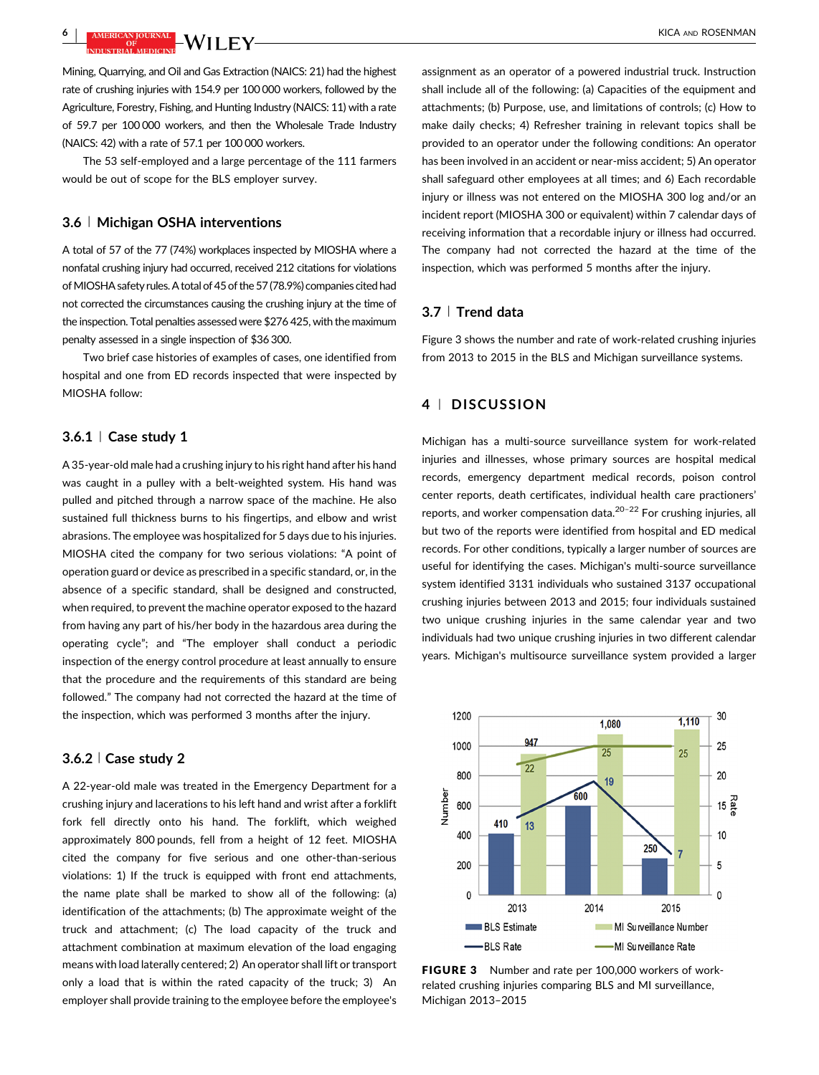<sup>6</sup> <sup>|</sup> KICA AND ROSENMAN

Mining, Quarrying, and Oil and Gas Extraction (NAICS: 21) had the highest rate of crushing injuries with 154.9 per 100 000 workers, followed by the Agriculture, Forestry, Fishing, and Hunting Industry (NAICS: 11) with a rate of 59.7 per 100 000 workers, and then the Wholesale Trade Industry (NAICS: 42) with a rate of 57.1 per 100 000 workers.

The 53 self-employed and a large percentage of the 111 farmers would be out of scope for the BLS employer survey.

#### 3.6 <sup>|</sup> Michigan OSHA interventions

A total of 57 of the 77 (74%) workplaces inspected by MIOSHA where a nonfatal crushing injury had occurred, received 212 citations for violations of MIOSHA safety rules. A total of 45 of the 57 (78.9%) companies cited had not corrected the circumstances causing the crushing injury at the time of the inspection. Total penalties assessed were \$276 425, with the maximum penalty assessed in a single inspection of \$36 300.

Two brief case histories of examples of cases, one identified from hospital and one from ED records inspected that were inspected by MIOSHA follow:

#### $3.6.1 \, \mid$  Case study 1

A 35-year-old male had a crushing injury to his right hand after his hand was caught in a pulley with a belt-weighted system. His hand was pulled and pitched through a narrow space of the machine. He also sustained full thickness burns to his fingertips, and elbow and wrist abrasions. The employee was hospitalized for 5 days due to his injuries. MIOSHA cited the company for two serious violations: "A point of operation guard or device as prescribed in a specific standard, or, in the absence of a specific standard, shall be designed and constructed, when required, to prevent the machine operator exposed to the hazard from having any part of his/her body in the hazardous area during the operating cycle"; and "The employer shall conduct a periodic inspection of the energy control procedure at least annually to ensure that the procedure and the requirements of this standard are being followed." The company had not corrected the hazard at the time of the inspection, which was performed 3 months after the injury.

#### 3.6.2 <sup>|</sup> Case study 2

A 22-year-old male was treated in the Emergency Department for a crushing injury and lacerations to his left hand and wrist after a forklift fork fell directly onto his hand. The forklift, which weighed approximately 800 pounds, fell from a height of 12 feet. MIOSHA cited the company for five serious and one other-than-serious violations: 1) If the truck is equipped with front end attachments, the name plate shall be marked to show all of the following: (a) identification of the attachments; (b) The approximate weight of the truck and attachment; (c) The load capacity of the truck and attachment combination at maximum elevation of the load engaging means with load laterally centered; 2) An operator shall lift or transport only a load that is within the rated capacity of the truck; 3) An employer shall provide training to the employee before the employee's

assignment as an operator of a powered industrial truck. Instruction shall include all of the following: (a) Capacities of the equipment and attachments; (b) Purpose, use, and limitations of controls; (c) How to make daily checks; 4) Refresher training in relevant topics shall be provided to an operator under the following conditions: An operator has been involved in an accident or near-miss accident; 5) An operator shall safeguard other employees at all times; and 6) Each recordable injury or illness was not entered on the MIOSHA 300 log and/or an incident report (MIOSHA 300 or equivalent) within 7 calendar days of receiving information that a recordable injury or illness had occurred. The company had not corrected the hazard at the time of the inspection, which was performed 5 months after the injury.

## 3.7 <sup>|</sup> Trend data

Figure 3 shows the number and rate of work-related crushing injuries from 2013 to 2015 in the BLS and Michigan surveillance systems.

## 4 <sup>|</sup> DISCUSSION

Michigan has a multi-source surveillance system for work-related injuries and illnesses, whose primary sources are hospital medical records, emergency department medical records, poison control center reports, death certificates, individual health care practioners' reports, and worker compensation data.20–<sup>22</sup> [For crushing injuries, all](#page-8-0) but two of the reports were identified from hospital and ED medical records. For other conditions, typically a larger number of sources are useful for identifying the cases. Michigan's multi-source surveillance system identified 3131 individuals who sustained 3137 occupational crushing injuries between 2013 and 2015; four individuals sustained two unique crushing injuries in the same calendar year and two individuals had two unique crushing injuries in two different calendar years. Michigan's multisource surveillance system provided a larger



FIGURE 3 Number and rate per 100,000 workers of workrelated crushing injuries comparing BLS and MI surveillance, Michigan 2013–2015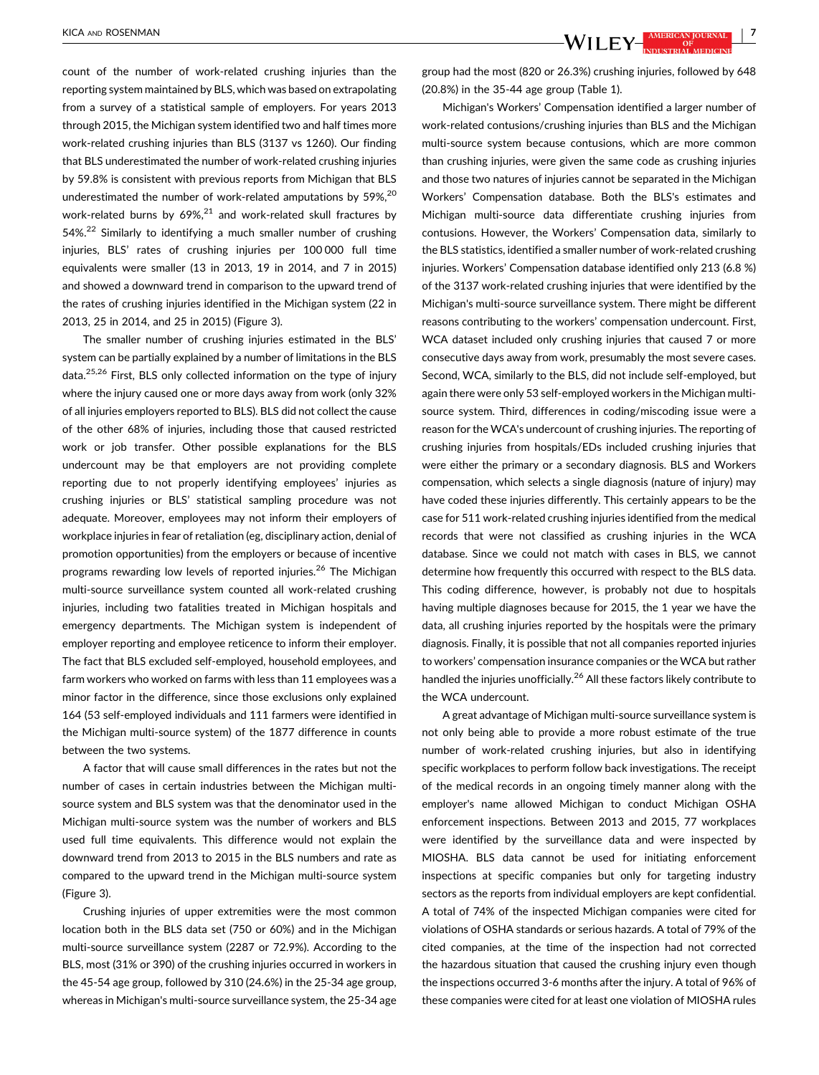count of the number of work-related crushing injuries than the reporting system maintained by BLS, which was based on extrapolating from a survey of a statistical sample of employers. For years 2013 through 2015, the Michigan system identified two and half times more work-related crushing injuries than BLS (3137 vs 1260). Our finding that BLS underestimated the number of work-related crushing injuries by 59.8% is consistent with previous reports from Michigan that BLS underestimated the number of work-related amputations by  $59\%$ <sup>[20](#page-8-0)</sup> work-related burns by  $69\%$ <sup>21</sup> [and work-related skull fractures by](#page-8-0) 54%.<sup>22</sup> [Similarly to identifying a much smaller number of crushing](#page-8-0) injuries, BLS' rates of crushing injuries per 100 000 full time equivalents were smaller (13 in 2013, 19 in 2014, and 7 in 2015) and showed a downward trend in comparison to the upward trend of the rates of crushing injuries identified in the Michigan system (22 in 2013, 25 in 2014, and 25 in 2015) (Figure 3).

The smaller number of crushing injuries estimated in the BLS' system can be partially explained by a number of limitations in the BLS data.25,26 [First, BLS only collected information on the type of injury](#page-8-0) where the injury caused one or more days away from work (only 32% of all injuries employers reported to BLS). BLS did not collect the cause of the other 68% of injuries, including those that caused restricted work or job transfer. Other possible explanations for the BLS undercount may be that employers are not providing complete reporting due to not properly identifying employees' injuries as crushing injuries or BLS' statistical sampling procedure was not adequate. Moreover, employees may not inform their employers of workplace injuries in fear of retaliation (eg, disciplinary action, denial of promotion opportunities) from the employers or because of incentive programs rewarding low levels of reported injuries.<sup>26</sup> [The Michigan](#page-8-0) multi-source surveillance system counted all work-related crushing injuries, including two fatalities treated in Michigan hospitals and emergency departments. The Michigan system is independent of employer reporting and employee reticence to inform their employer. The fact that BLS excluded self-employed, household employees, and farm workers who worked on farms with less than 11 employees was a minor factor in the difference, since those exclusions only explained 164 (53 self-employed individuals and 111 farmers were identified in the Michigan multi-source system) of the 1877 difference in counts between the two systems.

A factor that will cause small differences in the rates but not the number of cases in certain industries between the Michigan multisource system and BLS system was that the denominator used in the Michigan multi-source system was the number of workers and BLS used full time equivalents. This difference would not explain the downward trend from 2013 to 2015 in the BLS numbers and rate as compared to the upward trend in the Michigan multi-source system (Figure 3).

Crushing injuries of upper extremities were the most common location both in the BLS data set (750 or 60%) and in the Michigan multi-source surveillance system (2287 or 72.9%). According to the BLS, most (31% or 390) of the crushing injuries occurred in workers in the 45-54 age group, followed by 310 (24.6%) in the 25-34 age group, whereas in Michigan's multi-source surveillance system, the 25-34 age

group had the most (820 or 26.3%) crushing injuries, followed by 648 (20.8%) in the 35-44 age group (Table [1\)](#page-3-0).

Michigan's Workers' Compensation identified a larger number of work-related contusions/crushing injuries than BLS and the Michigan multi-source system because contusions, which are more common than crushing injuries, were given the same code as crushing injuries and those two natures of injuries cannot be separated in the Michigan Workers' Compensation database. Both the BLS's estimates and Michigan multi-source data differentiate crushing injuries from contusions. However, the Workers' Compensation data, similarly to the BLS statistics, identified a smaller number of work-related crushing injuries. Workers' Compensation database identified only 213 (6.8 %) of the 3137 work-related crushing injuries that were identified by the Michigan's multi-source surveillance system. There might be different reasons contributing to the workers' compensation undercount. First, WCA dataset included only crushing injuries that caused 7 or more consecutive days away from work, presumably the most severe cases. Second, WCA, similarly to the BLS, did not include self-employed, but again there were only 53 self-employed workers in the Michigan multisource system. Third, differences in coding/miscoding issue were a reason for the WCA's undercount of crushing injuries. The reporting of crushing injuries from hospitals/EDs included crushing injuries that were either the primary or a secondary diagnosis. BLS and Workers compensation, which selects a single diagnosis (nature of injury) may have coded these injuries differently. This certainly appears to be the case for 511 work-related crushing injuries identified from the medical records that were not classified as crushing injuries in the WCA database. Since we could not match with cases in BLS, we cannot determine how frequently this occurred with respect to the BLS data. This coding difference, however, is probably not due to hospitals having multiple diagnoses because for 2015, the 1 year we have the data, all crushing injuries reported by the hospitals were the primary diagnosis. Finally, it is possible that not all companies reported injuries to workers' compensation insurance companies or the WCA but rather handled the injuries unofficially.<sup>26</sup> [All these factors likely contribute to](#page-8-0) the WCA undercount.

A great advantage of Michigan multi-source surveillance system is not only being able to provide a more robust estimate of the true number of work-related crushing injuries, but also in identifying specific workplaces to perform follow back investigations. The receipt of the medical records in an ongoing timely manner along with the employer's name allowed Michigan to conduct Michigan OSHA enforcement inspections. Between 2013 and 2015, 77 workplaces were identified by the surveillance data and were inspected by MIOSHA. BLS data cannot be used for initiating enforcement inspections at specific companies but only for targeting industry sectors as the reports from individual employers are kept confidential. A total of 74% of the inspected Michigan companies were cited for violations of OSHA standards or serious hazards. A total of 79% of the cited companies, at the time of the inspection had not corrected the hazardous situation that caused the crushing injury even though the inspections occurred 3-6 months after the injury. A total of 96% of these companies were cited for at least one violation of MIOSHA rules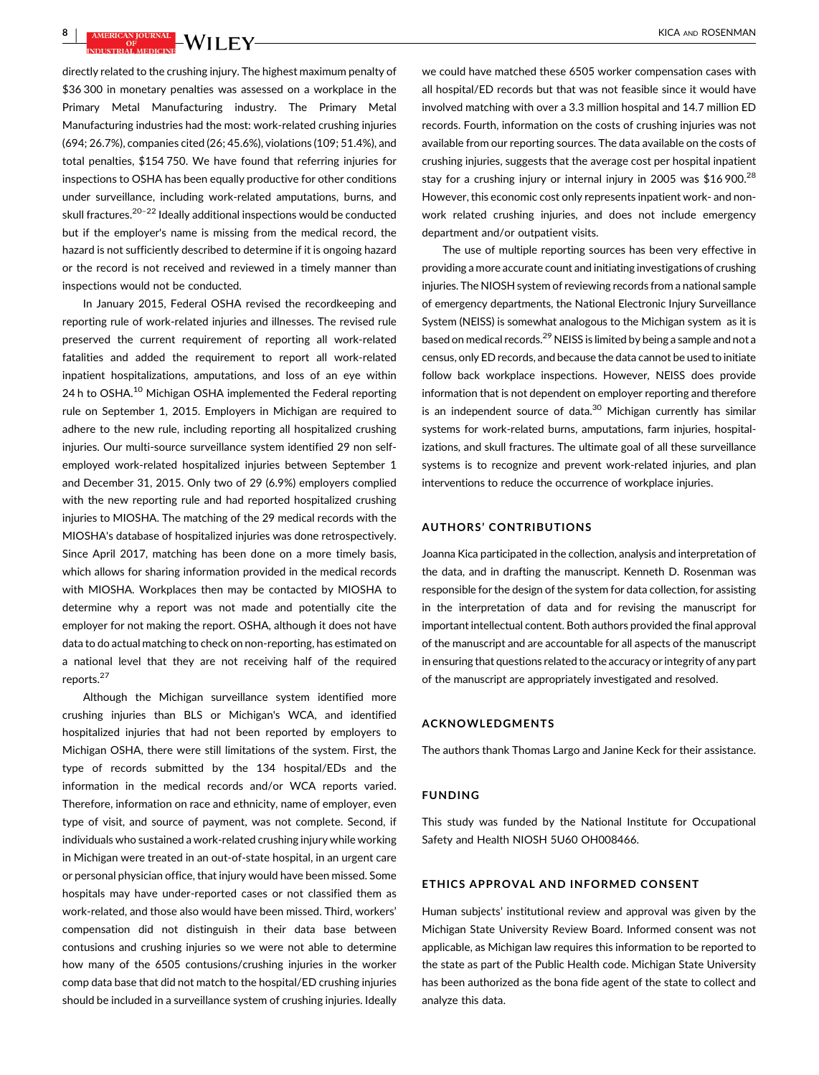$\frac{1}{\sqrt{3}}$  is a  $\frac{1}{\sqrt{3}}$  if  $\sqrt{3}$  if  $\sqrt{3}$  if  $\sqrt{3}$  if  $\sqrt{3}$  if  $\sqrt{3}$  if  $\sqrt{3}$  if  $\sqrt{3}$  if  $\sqrt{3}$  if  $\sqrt{3}$  if  $\sqrt{3}$  if  $\sqrt{3}$  if  $\sqrt{3}$  if  $\sqrt{3}$  if  $\sqrt{3}$  if  $\sqrt{3}$  if  $\sqrt{3}$  if  $\sqrt{3}$  if

directly related to the crushing injury. The highest maximum penalty of \$36 300 in monetary penalties was assessed on a workplace in the Primary Metal Manufacturing industry. The Primary Metal Manufacturing industries had the most: work-related crushing injuries (694; 26.7%), companies cited (26; 45.6%), violations (109; 51.4%), and total penalties, \$154 750. We have found that referring injuries for inspections to OSHA has been equally productive for other conditions under surveillance, including work-related amputations, burns, and skull fractures.<sup>20-22</sup> [Ideally additional inspections would be conducted](#page-8-0) but if the employer's name is missing from the medical record, the hazard is not sufficiently described to determine if it is ongoing hazard or the record is not received and reviewed in a timely manner than inspections would not be conducted.

In January 2015, Federal OSHA revised the recordkeeping and reporting rule of work-related injuries and illnesses. The revised rule preserved the current requirement of reporting all work-related fatalities and added the requirement to report all work-related inpatient hospitalizations, amputations, and loss of an eye within 24 h to OSHA.<sup>10</sup> [Michigan OSHA implemented the Federal reporting](#page-8-0) rule on September 1, 2015. Employers in Michigan are required to adhere to the new rule, including reporting all hospitalized crushing injuries. Our multi-source surveillance system identified 29 non selfemployed work-related hospitalized injuries between September 1 and December 31, 2015. Only two of 29 (6.9%) employers complied with the new reporting rule and had reported hospitalized crushing injuries to MIOSHA. The matching of the 29 medical records with the MIOSHA's database of hospitalized injuries was done retrospectively. Since April 2017, matching has been done on a more timely basis, which allows for sharing information provided in the medical records with MIOSHA. Workplaces then may be contacted by MIOSHA to determine why a report was not made and potentially cite the employer for not making the report. OSHA, although it does not have data to do actual matching to check on non-reporting, has estimated on a national level that they are not receiving half of the required reports.[27](#page-8-0)

Although the Michigan surveillance system identified more crushing injuries than BLS or Michigan's WCA, and identified hospitalized injuries that had not been reported by employers to Michigan OSHA, there were still limitations of the system. First, the type of records submitted by the 134 hospital/EDs and the information in the medical records and/or WCA reports varied. Therefore, information on race and ethnicity, name of employer, even type of visit, and source of payment, was not complete. Second, if individuals who sustained a work-related crushing injury while working in Michigan were treated in an out-of-state hospital, in an urgent care or personal physician office, that injury would have been missed. Some hospitals may have under-reported cases or not classified them as work-related, and those also would have been missed. Third, workers' compensation did not distinguish in their data base between contusions and crushing injuries so we were not able to determine how many of the 6505 contusions/crushing injuries in the worker comp data base that did not match to the hospital/ED crushing injuries should be included in a surveillance system of crushing injuries. Ideally

we could have matched these 6505 worker compensation cases with all hospital/ED records but that was not feasible since it would have involved matching with over a 3.3 million hospital and 14.7 million ED records. Fourth, information on the costs of crushing injuries was not available from our reporting sources. The data available on the costs of crushing injuries, suggests that the average cost per hospital inpatient stay for a crushing injury or internal injury in 2005 was  $$16\,900.<sup>28</sup>$  $$16\,900.<sup>28</sup>$  $$16\,900.<sup>28</sup>$ However, this economic cost only represents inpatient work- and nonwork related crushing injuries, and does not include emergency department and/or outpatient visits.

The use of multiple reporting sources has been very effective in providing a more accurate count and initiating investigations of crushing injuries. The NIOSH system of reviewing records from a national sample of emergency departments, the National Electronic Injury Surveillance System (NEISS) is somewhat analogous to the Michigan system as it is based on medical records.<sup>29</sup> [NEISS is limited by being a sample and not a](#page-8-0) census, only ED records, and because the data cannot be used to initiate follow back workplace inspections. However, NEISS does provide information that is not dependent on employer reporting and therefore is an independent source of data. $30$  [Michigan currently has similar](#page-8-0) systems for work-related burns, amputations, farm injuries, hospitalizations, and skull fractures. The ultimate goal of all these surveillance systems is to recognize and prevent work-related injuries, and plan interventions to reduce the occurrence of workplace injuries.

#### AUTHORS' CONTRIBUTIONS

Joanna Kica participated in the collection, analysis and interpretation of the data, and in drafting the manuscript. Kenneth D. Rosenman was responsible for the design of the system for data collection, for assisting in the interpretation of data and for revising the manuscript for important intellectual content. Both authors provided the final approval of the manuscript and are accountable for all aspects of the manuscript in ensuring that questions related to the accuracy or integrity of any part of the manuscript are appropriately investigated and resolved.

### ACKNOWLEDGMENTS

The authors thank Thomas Largo and Janine Keck for their assistance.

#### FUNDING

This study was funded by the National Institute for Occupational Safety and Health NIOSH 5U60 OH008466.

#### ETHICS APPROVAL AND INFORMED CONSENT

Human subjects' institutional review and approval was given by the Michigan State University Review Board. Informed consent was not applicable, as Michigan law requires this information to be reported to the state as part of the Public Health code. Michigan State University has been authorized as the bona fide agent of the state to collect and analyze this data.